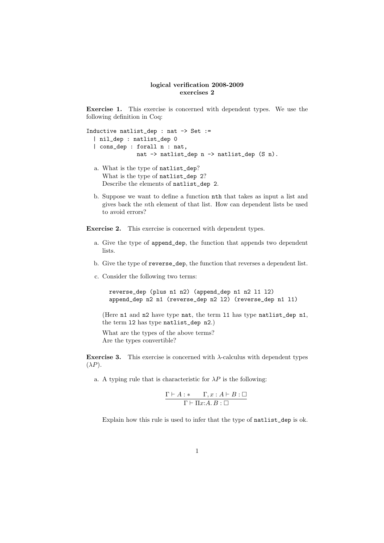## logical verification 2008-2009 exercises 2

Exercise 1. This exercise is concerned with dependent types. We use the following definition in Coq:

```
Inductive natlist_dep : nat -> Set :=
  | nil_dep : natlist_dep 0
  | cons dep : forall n : nat,
               nat -> natlist_dep n -> natlist_dep (S n).
```
- a. What is the type of natlist\_dep? What is the type of natlist\_dep 2? Describe the elements of natlist\_dep 2.
- b. Suppose we want to define a function nth that takes as input a list and gives back the nth element of that list. How can dependent lists be used to avoid errors?

Exercise 2. This exercise is concerned with dependent types.

- a. Give the type of append\_dep, the function that appends two dependent lists.
- b. Give the type of reverse\_dep, the function that reverses a dependent list.
- c. Consider the following two terms:

reverse\_dep (plus n1 n2) (append\_dep n1 n2 l1 l2) append\_dep n2 n1 (reverse\_dep n2 l2) (reverse\_dep n1 l1)

(Here n1 and n2 have type nat, the term l1 has type natlist\_dep n1, the term l2 has type natlist\_dep n2.)

What are the types of the above terms? Are the types convertible?

Exercise 3. This exercise is concerned with  $\lambda$ -calculus with dependent types  $(\lambda P)$ .

a. A typing rule that is characteristic for  $\lambda P$  is the following:

$$
\frac{\Gamma\vdash A:*\qquad \Gamma,x:A\vdash B:\Box}{\Gamma\vdash \Pi x:A.\,B:\Box}
$$

Explain how this rule is used to infer that the type of natlist\_dep is ok.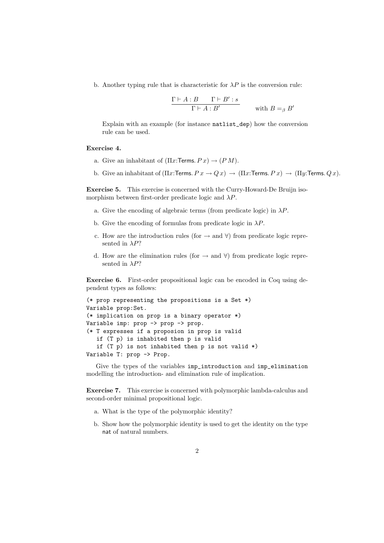b. Another typing rule that is characteristic for  $\lambda P$  is the conversion rule:

$$
\frac{\Gamma \vdash A:B \qquad \Gamma \vdash B':s}{\Gamma \vdash A:B'}
$$
 with  $B =_\beta B'$ 

Explain with an example (for instance natlist\_dep) how the conversion rule can be used.

## Exercise 4.

- a. Give an inhabitant of  $(\Pi x: \mathsf{Terms}\, P x) \to (P M)$ .
- b. Give an inhabitant of  $(\Pi x: \text{Terms. } P x \to Q x) \to (\Pi x: \text{Terms. } P x) \to (\Pi y: \text{Terms. } Q x)$ .

Exercise 5. This exercise is concerned with the Curry-Howard-De Bruijn isomorphism between first-order predicate logic and  $\lambda P$ .

- a. Give the encoding of algebraic terms (from predicate logic) in  $\lambda P$ .
- b. Give the encoding of formulas from predicate logic in  $\lambda P$ .
- c. How are the introduction rules (for  $\rightarrow$  and  $\forall$ ) from predicate logic represented in  $\lambda P$ ?
- d. How are the elimination rules (for  $\rightarrow$  and  $\forall$ ) from predicate logic represented in  $\lambda P$ ?

Exercise 6. First-order propositional logic can be encoded in Coq using dependent types as follows:

```
(* prop representing the propositions is a Set *)
Variable prop:Set.
(* implication on prop is a binary operator *)
Variable imp: prop -> prop -> prop.
(* T expresses if a proposion in prop is valid
   if (T p) is inhabited then p is valid
   if (T p) is not inhabited then p is not valid *)
Variable T: prop -> Prop.
```
Give the types of the variables imp\_introduction and imp\_elimination modelling the introduction- and elimination rule of implication.

Exercise 7. This exercise is concerned with polymorphic lambda-calculus and second-order minimal propositional logic.

- a. What is the type of the polymorphic identity?
- b. Show how the polymorphic identity is used to get the identity on the type nat of natural numbers.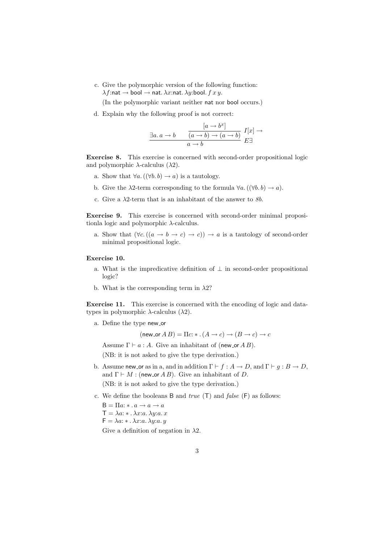c. Give the polymorphic version of the following function:  $\lambda f$ :nat  $\rightarrow$  bool  $\rightarrow$  nat.  $\lambda x$ :nat.  $\lambda y$ :bool.  $f x y$ .

(In the polymorphic variant neither nat nor bool occurs.)

d. Explain why the following proof is not correct:

$$
\frac{[a \to b^x]}{a \to b} \qquad \frac{[a \to b^x]}{(a \to b) \to (a \to b)} \quad I[x] \to a \to b
$$

Exercise 8. This exercise is concerned with second-order propositional logic and polymorphic  $\lambda$ -calculus  $(\lambda 2)$ .

- a. Show that  $\forall a. ((\forall b. b) \rightarrow a)$  is a tautology.
- b. Give the  $\lambda$ 2-term corresponding to the formula  $\forall a. ((\forall b. b) \rightarrow a).$
- c. Give a  $\lambda$ 2-term that is an inhabitant of the answer to  $8b$ .

Exercise 9. This exercise is concerned with second-order minimal propositionla logic and polymorphic  $\lambda$ -calculus.

a. Show that  $(\forall c. ((a \rightarrow b \rightarrow c) \rightarrow c)) \rightarrow a$  is a tautology of second-order minimal propositional logic.

## Exercise 10.

- a. What is the impredicative definition of  $\perp$  in second-order propositional logic?
- b. What is the corresponding term in  $\lambda$ 2?

Exercise 11. This exercise is concerned with the encoding of logic and datatypes in polymorphic  $\lambda$ -calculus  $(\lambda 2)$ .

a. Define the type new\_or

(new\_or  $A B$ ) =  $\Pi c$ :  $\ast$  .  $(A \to c) \to (B \to c) \to c$ 

Assume  $\Gamma \vdash a : A$ . Give an inhabitant of (new or A B).

(NB: it is not asked to give the type derivation.)

- b. Assume new or as in a, and in addition  $\Gamma \vdash f : A \to D$ , and  $\Gamma \vdash g : B \to D$ , and  $\Gamma \vdash M :$  (new or A B). Give an inhabitant of D. (NB: it is not asked to give the type derivation.)
- c. We define the booleans B and  $true$  (T) and  $false$  (F) as follows:
	- $B = \Pi a: \ast a \rightarrow a \rightarrow a$
	- $\mathsf{T} = \lambda a: \mathsf{A} \cdot \lambda x: a \cdot \lambda y: a \cdot x$

 $F = \lambda a: * \ldots \lambda x: a \ldotp \lambda y: a \ldotp y$ 

Give a definition of negation in  $\lambda$ 2.